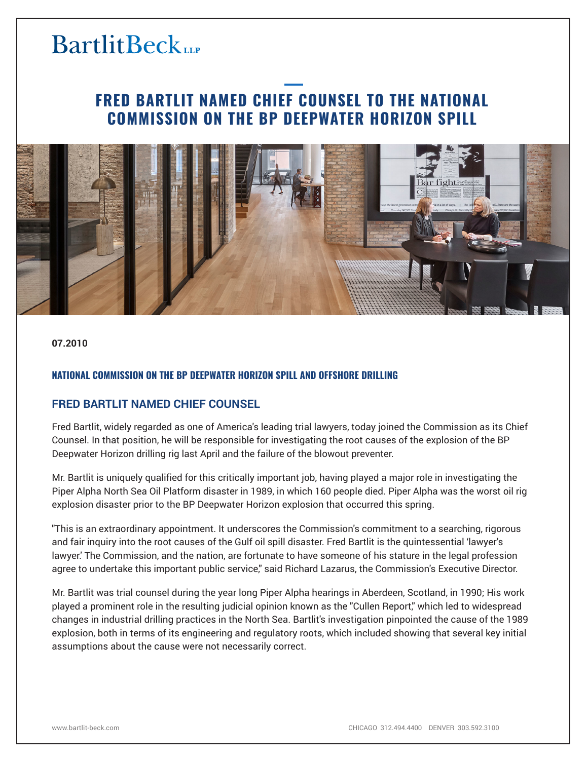# **BartlitBeck**

## **FRED BARTLIT NAMED CHIEF COUNSEL TO THE NATIONAL COMMISSION ON THE BP DEEPWATER HORIZON SPILL**



**07.2010**

#### **NATIONAL COMMISSION ON THE BP DEEPWATER HORIZON SPILL AND OFFSHORE DRILLING**

### **FRED BARTLIT NAMED CHIEF COUNSEL**

Fred Bartlit, widely regarded as one of America's leading trial lawyers, today joined the Commission as its Chief Counsel. In that position, he will be responsible for investigating the root causes of the explosion of the BP Deepwater Horizon drilling rig last April and the failure of the blowout preventer.

Mr. Bartlit is uniquely qualified for this critically important job, having played a major role in investigating the Piper Alpha North Sea Oil Platform disaster in 1989, in which 160 people died. Piper Alpha was the worst oil rig explosion disaster prior to the BP Deepwater Horizon explosion that occurred this spring.

"This is an extraordinary appointment. It underscores the Commission's commitment to a searching, rigorous and fair inquiry into the root causes of the Gulf oil spill disaster. Fred Bartlit is the quintessential 'lawyer's lawyer.' The Commission, and the nation, are fortunate to have someone of his stature in the legal profession agree to undertake this important public service," said Richard Lazarus, the Commission's Executive Director.

Mr. Bartlit was trial counsel during the year long Piper Alpha hearings in Aberdeen, Scotland, in 1990; His work played a prominent role in the resulting judicial opinion known as the "Cullen Report," which led to widespread changes in industrial drilling practices in the North Sea. Bartlit's investigation pinpointed the cause of the 1989 explosion, both in terms of its engineering and regulatory roots, which included showing that several key initial assumptions about the cause were not necessarily correct.